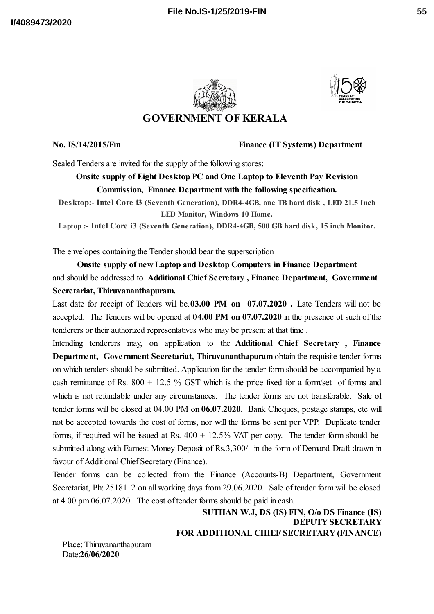

**GOVERNMENT OF KERALA**

**No. IS/14/2015/Fin Finance (IT Systems) Department**

Sealed Tenders are invited for the supply of the following stores:

## **Onsite supply of Eight Desktop PC and One Laptop to Eleventh Pay Revision Commission, Finance Department with the following specification.**

**Desktop:- Intel Core i3 (Seventh Generation), DDR4-4GB, one TB hard disk , LED 21.5 Inch LED Monitor, Windows 10 Home.**

**Laptop :- Intel Core i3 (Seventh Generation), DDR4-4GB, 500 GB hard disk, 15 inch Monitor.**

The envelopes containing the Tender should bear the superscription

**Onsite supply of new Laptop and Desktop Computers in Finance Department** and should be addressed to **Additional Chief Secretary , Finance Department, Government Secretariat, Thiruvananthapuram.**

Last date for receipt of Tenders will be.**03.00 PM on 07.07.2020 .** Late Tenders will not be accepted. The Tenders will be opened at 0**4.00 PM on 07.07.2020** in the presence of such of the tenderers or their authorized representatives who may be present at that time .

Intending tenderers may, on application to the **Additional Chief Secretary , Finance Department, Government Secretariat, Thiruvananthapuram** obtain the requisite tender forms on which tenders should be submitted. Application for the tender form should be accompanied by a cash remittance of Rs.  $800 + 12.5$  % GST which is the price fixed for a form/set of forms and which is not refundable under any circumstances. The tender forms are not transferable. Sale of tender forms will be closed at 04.00 PM on **06.07.2020.** Bank Cheques, postage stamps, etc will not be accepted towards the cost of forms, nor will the forms be sent per VPP. Duplicate tender forms, if required will be issued at Rs.  $400 + 12.5\%$  VAT per copy. The tender form should be submitted along with Earnest Money Deposit of Rs.3,300/- in the form of Demand Draft drawn in favour of Additional Chief Secretary (Finance).

Tender forms can be collected from the Finance (Accounts-B) Department, Government Secretariat, Ph: 2518112 on all working days from 29.06.2020. Sale of tender form will be closed at 4.00 pm 06.07.2020. The cost of tender forms should be paid in cash.

> **SUTHAN W.J, DS (IS) FIN, O/o DS Finance (IS) DEPUTY SECRETARY FOR ADDITIONAL CHIEF SECRETARY (FINANCE)**

Place: Thiruvananthapuram Date:**26/06/2020**

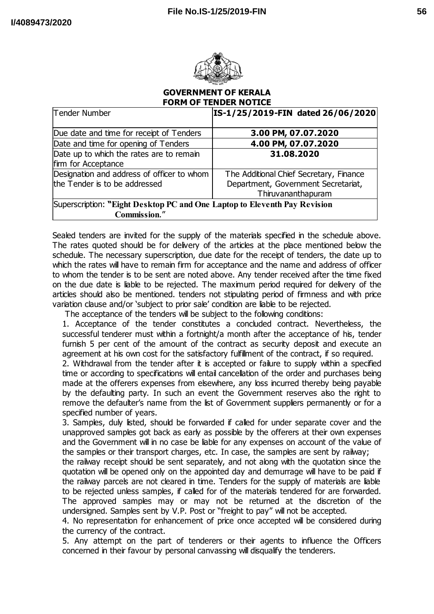

## **GOVERNMENT OF KERALA FORM OF TENDER NOTICE**

| Tender Number                                                             | IS-1/25/2019-FIN dated 26/06/2020       |
|---------------------------------------------------------------------------|-----------------------------------------|
| Due date and time for receipt of Tenders                                  | 3.00 PM, 07.07.2020                     |
| Date and time for opening of Tenders                                      | 4.00 PM, 07.07.2020                     |
| Date up to which the rates are to remain                                  | 31.08.2020                              |
| firm for Acceptance                                                       |                                         |
| Designation and address of officer to whom                                | The Additional Chief Secretary, Finance |
| the Tender is to be addressed                                             | Department, Government Secretariat,     |
|                                                                           | Thiruvananthapuram                      |
| Superscription: "Eight Desktop PC and One Laptop to Eleventh Pay Revision |                                         |
| Commission."                                                              |                                         |

Sealed tenders are invited for the supply of the materials specified in the schedule above. The rates quoted should be for delivery of the articles at the place mentioned below the schedule. The necessary superscription, due date for the receipt of tenders, the date up to which the rates will have to remain firm for acceptance and the name and address of officer to whom the tender is to be sent are noted above. Any tender received after the time fixed on the due date is liable to be rejected. The maximum period required for delivery of the articles should also be mentioned. tenders not stipulating period of firmness and with price variation clause and/or 'subject to prior sale' condition are liable to be rejected.

The acceptance of the tenders will be subject to the following conditions:

1. Acceptance of the tender constitutes a concluded contract. Nevertheless, the successful tenderer must within a fortnight/a month after the acceptance of his, tender furnish 5 per cent of the amount of the contract as security deposit and execute an agreement at his own cost for the satisfactory fulfillment of the contract, if so required.

2. Withdrawal from the tender after it is accepted or failure to supply within a specified time or according to specifications will entail cancellation of the order and purchases being made at the offerers expenses from elsewhere, any loss incurred thereby being payable by the defaulting party. In such an event the Government reserves also the right to remove the defaulter's name from the list of Government suppliers permanently or for a specified number of years.

3. Samples, duly listed, should be forwarded if called for under separate cover and the unapproved samples got back as early as possible by the offerers at their own expenses and the Government will in no case be liable for any expenses on account of the value of the samples or their transport charges, etc. In case, the samples are sent by railway;

the railway receipt should be sent separately, and not along with the quotation since the quotation will be opened only on the appointed day and demurrage will have to be paid if the railway parcels are not cleared in time. Tenders for the supply of materials are liable to be rejected unless samples, if called for of the materials tendered for are forwarded. The approved samples may or may not be returned at the discretion of the undersigned. Samples sent by V.P. Post or "freight to pay" will not be accepted.

4. No representation for enhancement of price once accepted will be considered during the currency of the contract.

5. Any attempt on the part of tenderers or their agents to influence the Officers concerned in their favour by personal canvassing will disqualify the tenderers.